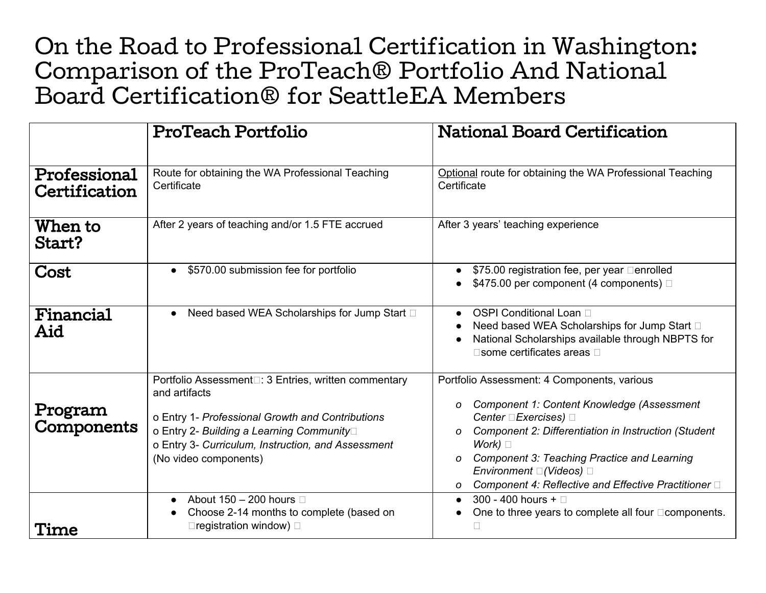## On the Road to Professional Certification in Washington: Comparison of the ProTeach® Portfolio And National Board Certification® for SeattleEA Members

|                               | <b>ProTeach Portfolio</b>                                                                                                                                                                                                                             | <b>National Board Certification</b>                                                                                                                                                                                                                                                                                                                                               |
|-------------------------------|-------------------------------------------------------------------------------------------------------------------------------------------------------------------------------------------------------------------------------------------------------|-----------------------------------------------------------------------------------------------------------------------------------------------------------------------------------------------------------------------------------------------------------------------------------------------------------------------------------------------------------------------------------|
| Professional<br>Certification | Route for obtaining the WA Professional Teaching<br>Certificate                                                                                                                                                                                       | Optional route for obtaining the WA Professional Teaching<br>Certificate                                                                                                                                                                                                                                                                                                          |
| When to<br>Start?             | After 2 years of teaching and/or 1.5 FTE accrued                                                                                                                                                                                                      | After 3 years' teaching experience                                                                                                                                                                                                                                                                                                                                                |
| Cost                          | \$570.00 submission fee for portfolio<br>$\bullet$                                                                                                                                                                                                    | \$75.00 registration fee, per year □ enrolled<br>\$475.00 per component (4 components) □                                                                                                                                                                                                                                                                                          |
| Financial<br>Aid              | Need based WEA Scholarships for Jump Start □<br>$\bullet$                                                                                                                                                                                             | OSPI Conditional Loan □<br>$\bullet$<br>Need based WEA Scholarships for Jump Start □<br>National Scholarships available through NBPTS for<br>□ some certificates areas □                                                                                                                                                                                                          |
| Program<br>Components         | Portfolio Assessment□: 3 Entries, written commentary<br>and artifacts<br>o Entry 1- Professional Growth and Contributions<br>o Entry 2- Building a Learning Community□<br>o Entry 3- Curriculum, Instruction, and Assessment<br>(No video components) | Portfolio Assessment: 4 Components, various<br><b>Component 1: Content Knowledge (Assessment</b><br>0<br>Center □ Exercises) □<br>Component 2: Differentiation in Instruction (Student<br>$\Omega$<br>Work) $\Box$<br><b>Component 3: Teaching Practice and Learning</b><br>O<br>Environment $\square$ (Videos) $\square$<br>Component 4: Reflective and Effective Practitioner □ |
| Time                          | About 150 - 200 hours $\Box$<br>$\bullet$<br>Choose 2-14 months to complete (based on<br>$\square$ registration window) $\square$                                                                                                                     | 300 - 400 hours + $\Box$<br>$\bullet$<br>One to three years to complete all four <b>Demponents</b> .                                                                                                                                                                                                                                                                              |